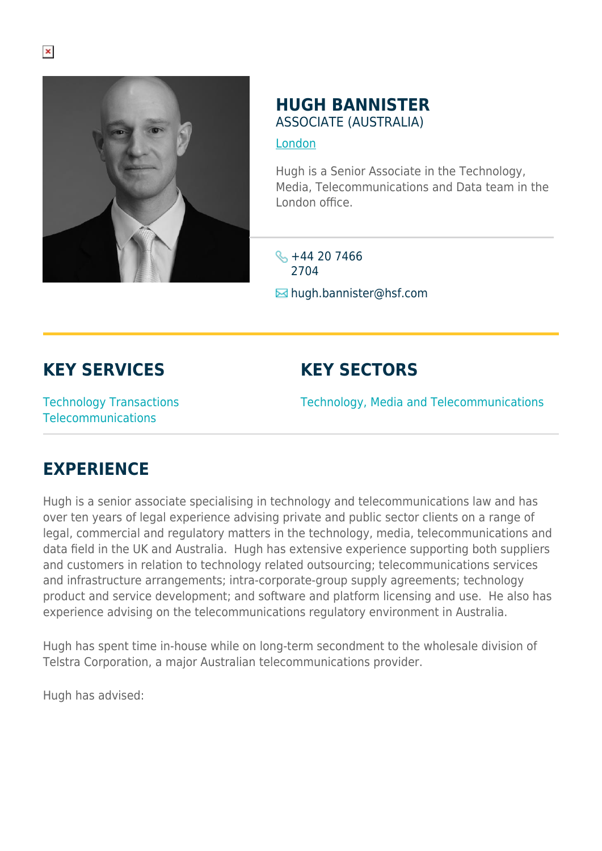

#### **HUGH BANNISTER** ASSOCIATE (AUSTRALIA)

#### [London](https://www.herbertsmithfreehills.com/where-we-work/london)

Hugh is a Senior Associate in the Technology, Media, Telecommunications and Data team in the London office.

 $\frac{1}{2}$  +44 20 7466 2704

**E**hugh.bannister@hsf.com

## **KEY SERVICES**

## **KEY SECTORS**

Technology Transactions Telecommunications

Technology, Media and Telecommunications

# **EXPERIENCE**

Hugh is a senior associate specialising in technology and telecommunications law and has over ten years of legal experience advising private and public sector clients on a range of legal, commercial and regulatory matters in the technology, media, telecommunications and data field in the UK and Australia. Hugh has extensive experience supporting both suppliers and customers in relation to technology related outsourcing; telecommunications services and infrastructure arrangements; intra-corporate-group supply agreements; technology product and service development; and software and platform licensing and use. He also has experience advising on the telecommunications regulatory environment in Australia.

Hugh has spent time in-house while on long-term secondment to the wholesale division of Telstra Corporation, a major Australian telecommunications provider.

Hugh has advised: